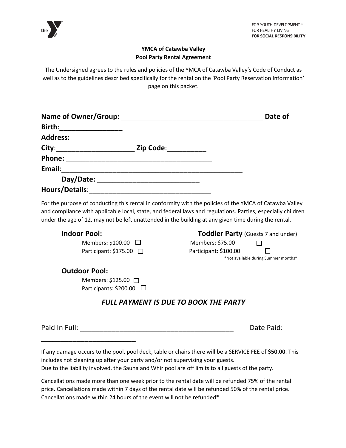

## **YMCA of Catawba Valley Pool Party Rental Agreement**

The Undersigned agrees to the rules and policies of the YMCA of Catawba Valley's Code of Conduct as well as to the guidelines described specifically for the rental on the 'Pool Party Reservation Information' page on this packet.

|                                                                                                                                                                                                                                |                  | Date of |
|--------------------------------------------------------------------------------------------------------------------------------------------------------------------------------------------------------------------------------|------------------|---------|
| Birth:<br><u> 1989 - Johann John Harry Barnett, fransk kongres</u>                                                                                                                                                             |                  |         |
| Address: Andreas and the set of the set of the set of the set of the set of the set of the set of the set of the set of the set of the set of the set of the set of the set of the set of the set of the set of the set of the |                  |         |
|                                                                                                                                                                                                                                | <b>Zip Code:</b> |         |
|                                                                                                                                                                                                                                |                  |         |
| Email:                                                                                                                                                                                                                         |                  |         |
| Day/Date: Day/Date:                                                                                                                                                                                                            |                  |         |
| <b>Hours/Details:</b>                                                                                                                                                                                                          |                  |         |

For the purpose of conducting this rental in conformity with the policies of the YMCA of Catawba Valley and compliance with applicable local, state, and federal laws and regulations. Parties, especially children under the age of 12, may not be left unattended in the building at any given time during the rental.

Members**:** \$100.00Members: \$75.00 Participant:  $$175.00$ 

**Indoor Pool:** Toddler Party (Guests 7 and under)

| Members: \$75.00                     | $\mathsf{L}$ |
|--------------------------------------|--------------|
| Participant: \$100.00                | $\Box$       |
| *Not available during Summer months* |              |

## **Outdoor Pool:**

\_\_\_\_\_\_\_\_\_\_\_\_\_\_\_\_\_\_\_\_\_\_\_\_

Members: \$125.00 □ Participants: \$200.00 □

## *FULL PAYMENT IS DUE TO BOOK THE PARTY*

Paid In Full: **Date Paid:** Paid: **Date Paid:** Paid: **Date Paid:** Paid: **Paid:** Paid: **Paid:** Paid: **Paid:** Paid: **Paid:** Paid: Paid: Paid: Paid: Paid: Paid: Paid: Paid: Paid: Paid: Paid: Paid: Paid: Paid: Paid: Paid: Paid:

If any damage occurs to the pool, pool deck, table or chairs there will be a SERVICE FEE of **\$50.00**. This includes not cleaning up after your party and/or not supervising your guests. Due to the liability involved, the Sauna and Whirlpool are off limits to all guests of the party.

Cancellations made more than one week prior to the rental date will be refunded 75% of the rental price. Cancellations made within 7 days of the rental date will be refunded 50% of the rental price. Cancellations made within 24 hours of the event will not be refunded\*